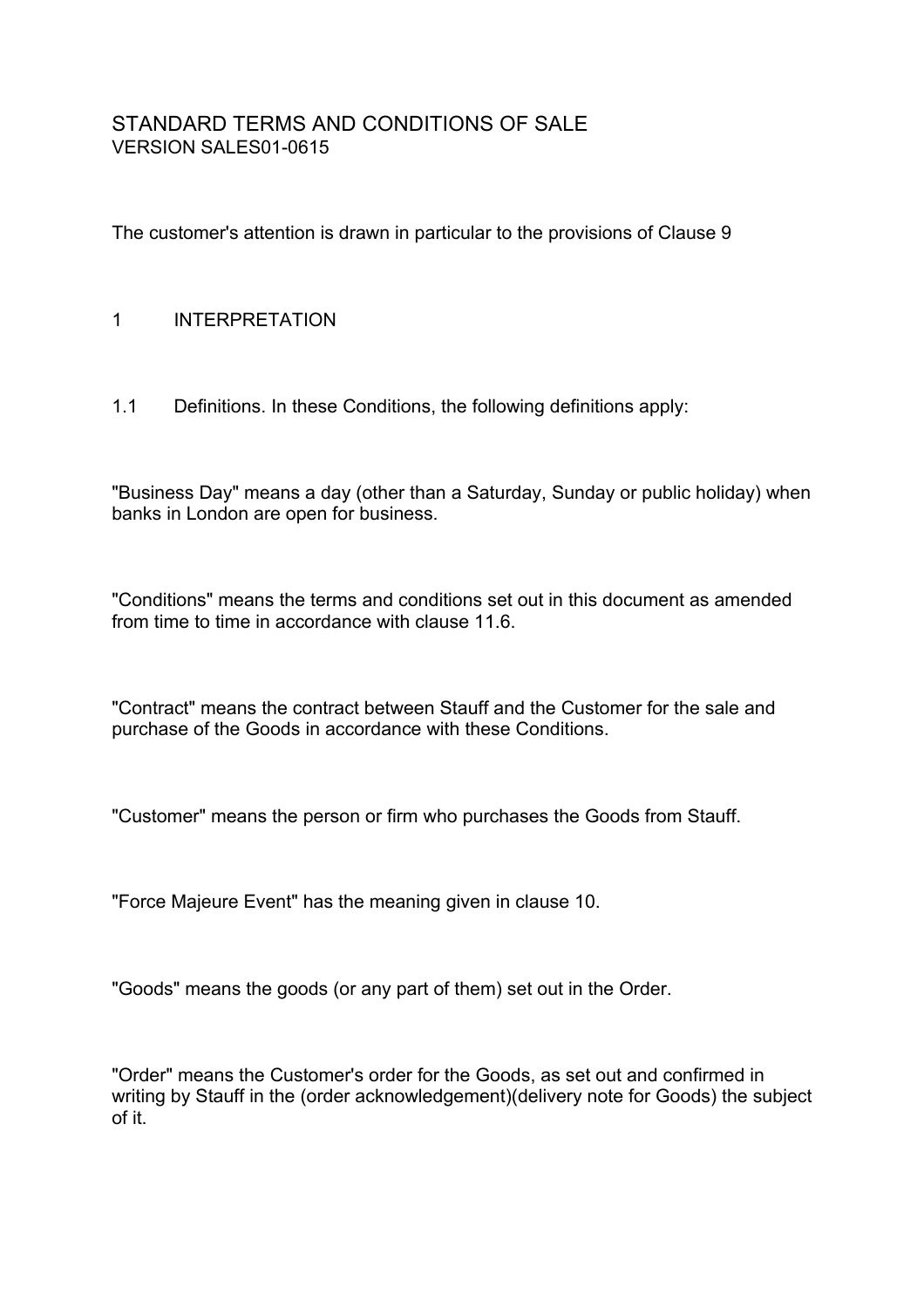# STANDARD TERMS AND CONDITIONS OF SALE VERSION SALES01-0615

The customer's attention is drawn in particular to the provisions of Clause 9

### 1 INTERPRETATION

1.1 Definitions. In these Conditions, the following definitions apply:

"Business Day" means a day (other than a Saturday, Sunday or public holiday) when banks in London are open for business.

"Conditions" means the terms and conditions set out in this document as amended from time to time in accordance with clause 11.6.

"Contract" means the contract between Stauff and the Customer for the sale and purchase of the Goods in accordance with these Conditions.

"Customer" means the person or firm who purchases the Goods from Stauff.

"Force Majeure Event" has the meaning given in clause 10.

"Goods" means the goods (or any part of them) set out in the Order.

"Order" means the Customer's order for the Goods, as set out and confirmed in writing by Stauff in the (order acknowledgement)(delivery note for Goods) the subject of it.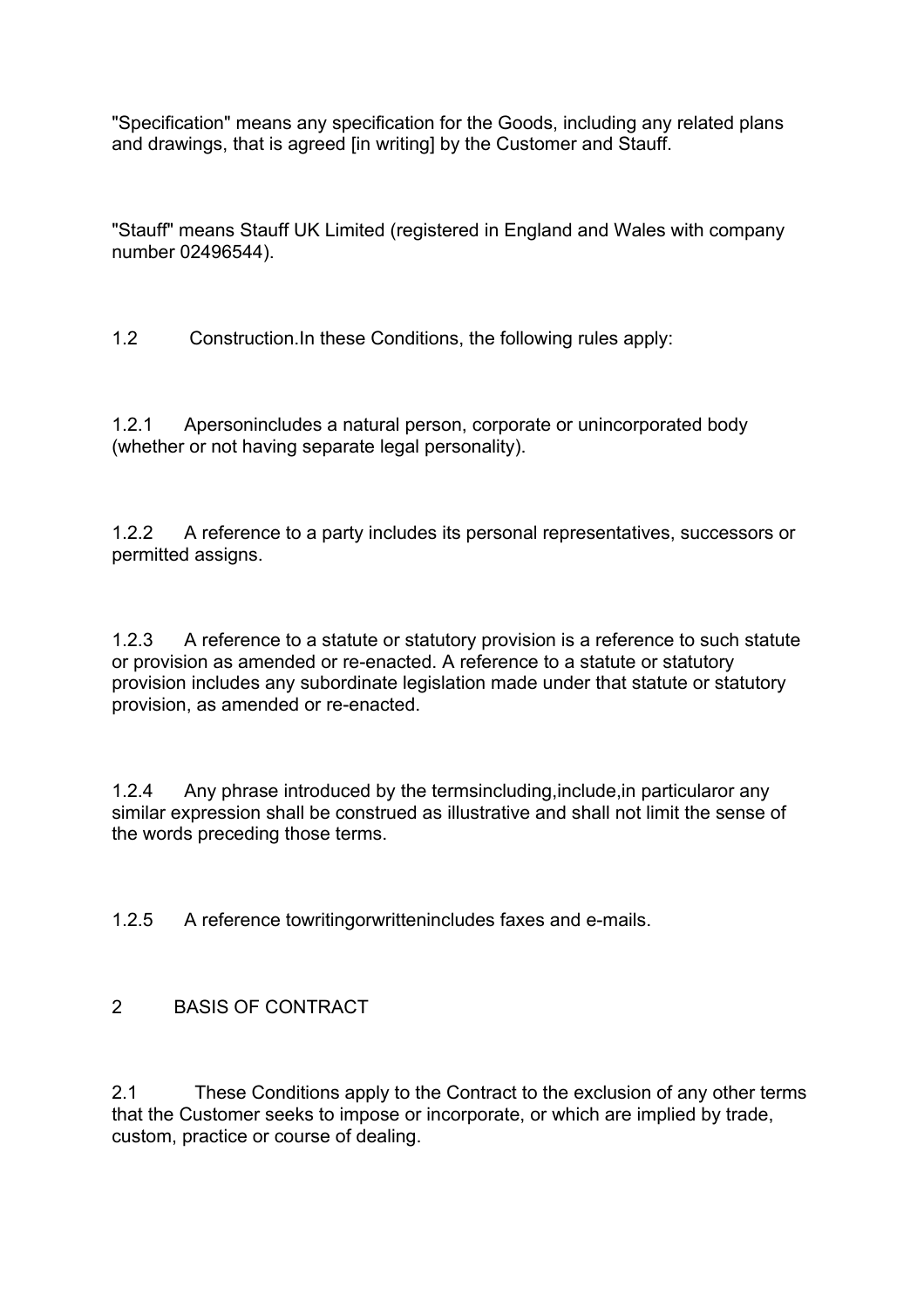"Specification" means any specification for the Goods, including any related plans and drawings, that is agreed [in writing] by the Customer and Stauff.

"Stauff" means Stauff UK Limited (registered in England and Wales with company number 02496544).

1.2 Construction.In these Conditions, the following rules apply:

1.2.1 Apersonincludes a natural person, corporate or unincorporated body (whether or not having separate legal personality).

1.2.2 A reference to a party includes its personal representatives, successors or permitted assigns.

1.2.3 A reference to a statute or statutory provision is a reference to such statute or provision as amended or re-enacted. A reference to a statute or statutory provision includes any subordinate legislation made under that statute or statutory provision, as amended or re-enacted.

1.2.4 Any phrase introduced by the termsincluding,include,in particularor any similar expression shall be construed as illustrative and shall not limit the sense of the words preceding those terms.

1.2.5 A reference towritingorwrittenincludes faxes and e-mails.

# 2 BASIS OF CONTRACT

2.1 These Conditions apply to the Contract to the exclusion of any other terms that the Customer seeks to impose or incorporate, or which are implied by trade, custom, practice or course of dealing.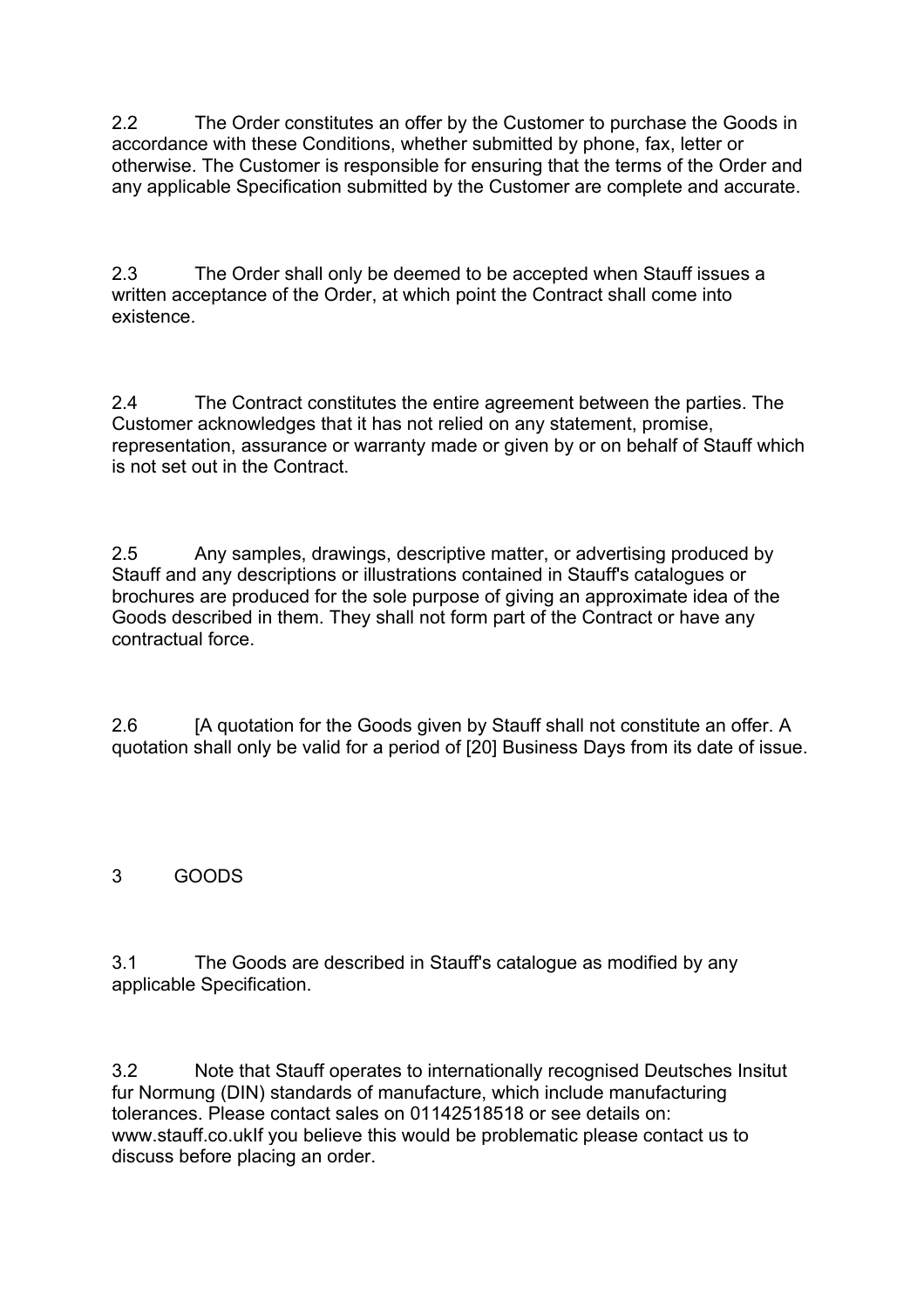2.2 The Order constitutes an offer by the Customer to purchase the Goods in accordance with these Conditions, whether submitted by phone, fax, letter or otherwise. The Customer is responsible for ensuring that the terms of the Order and any applicable Specification submitted by the Customer are complete and accurate.

2.3 The Order shall only be deemed to be accepted when Stauff issues a written acceptance of the Order, at which point the Contract shall come into existence.

2.4 The Contract constitutes the entire agreement between the parties. The Customer acknowledges that it has not relied on any statement, promise, representation, assurance or warranty made or given by or on behalf of Stauff which is not set out in the Contract.

2.5 Any samples, drawings, descriptive matter, or advertising produced by Stauff and any descriptions or illustrations contained in Stauff's catalogues or brochures are produced for the sole purpose of giving an approximate idea of the Goods described in them. They shall not form part of the Contract or have any contractual force.

2.6 [A quotation for the Goods given by Stauff shall not constitute an offer. A quotation shall only be valid for a period of [20] Business Days from its date of issue.

# 3 GOODS

3.1 The Goods are described in Stauff's catalogue as modified by any applicable Specification.

3.2 Note that Stauff operates to internationally recognised Deutsches Insitut fur Normung (DIN) standards of manufacture, which include manufacturing tolerances. Please contact sales on 01142518518 or see details on: www.stauff.co.ukIf you believe this would be problematic please contact us to discuss before placing an order.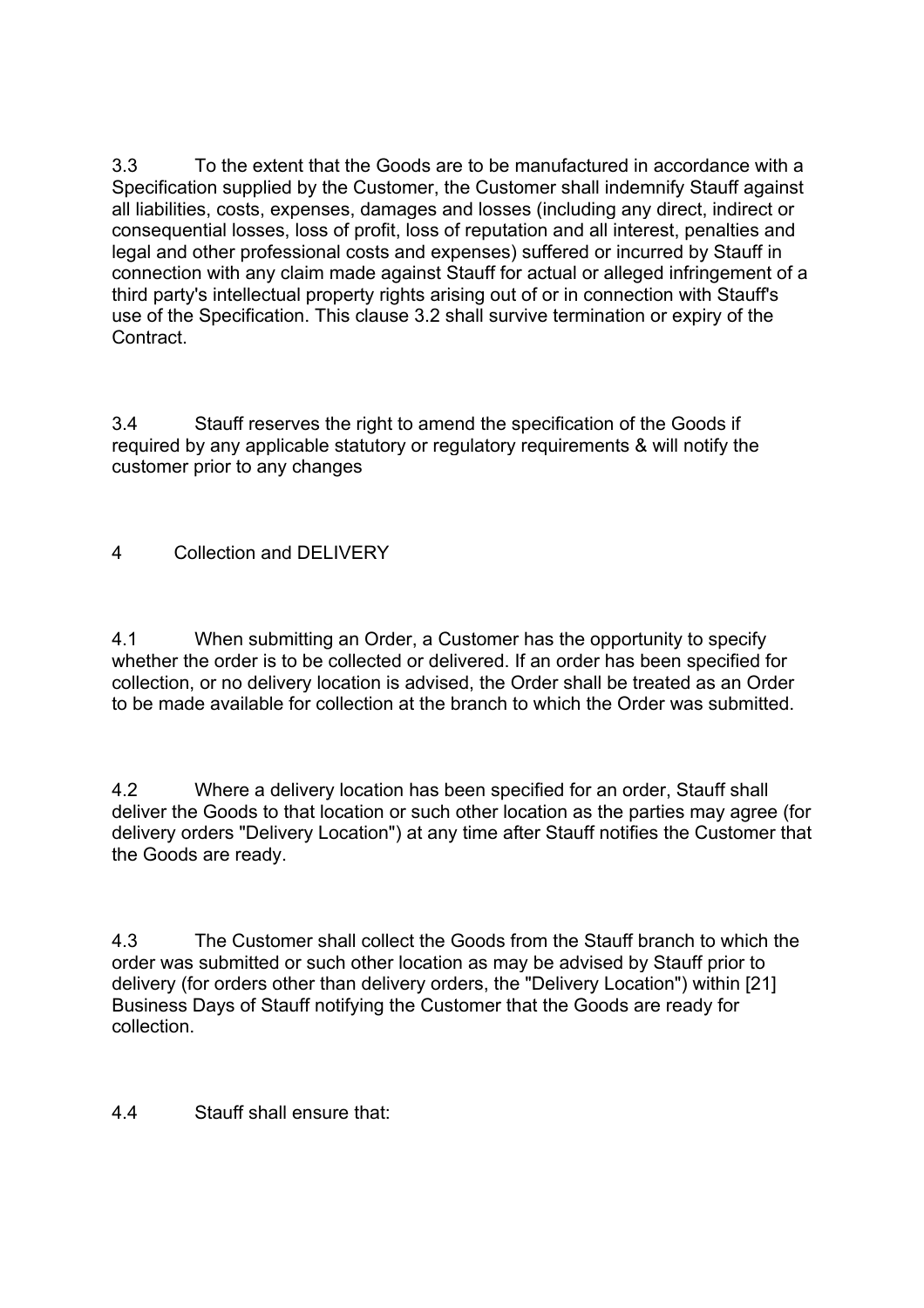3.3 To the extent that the Goods are to be manufactured in accordance with a Specification supplied by the Customer, the Customer shall indemnify Stauff against all liabilities, costs, expenses, damages and losses (including any direct, indirect or consequential losses, loss of profit, loss of reputation and all interest, penalties and legal and other professional costs and expenses) suffered or incurred by Stauff in connection with any claim made against Stauff for actual or alleged infringement of a third party's intellectual property rights arising out of or in connection with Stauff's use of the Specification. This clause 3.2 shall survive termination or expiry of the **Contract** 

3.4 Stauff reserves the right to amend the specification of the Goods if required by any applicable statutory or regulatory requirements & will notify the customer prior to any changes

4 Collection and DELIVERY

4.1 When submitting an Order, a Customer has the opportunity to specify whether the order is to be collected or delivered. If an order has been specified for collection, or no delivery location is advised, the Order shall be treated as an Order to be made available for collection at the branch to which the Order was submitted.

4.2 Where a delivery location has been specified for an order, Stauff shall deliver the Goods to that location or such other location as the parties may agree (for delivery orders "Delivery Location") at any time after Stauff notifies the Customer that the Goods are ready.

4.3 The Customer shall collect the Goods from the Stauff branch to which the order was submitted or such other location as may be advised by Stauff prior to delivery (for orders other than delivery orders, the "Delivery Location") within [21] Business Days of Stauff notifying the Customer that the Goods are ready for collection.

4.4 Stauff shall ensure that: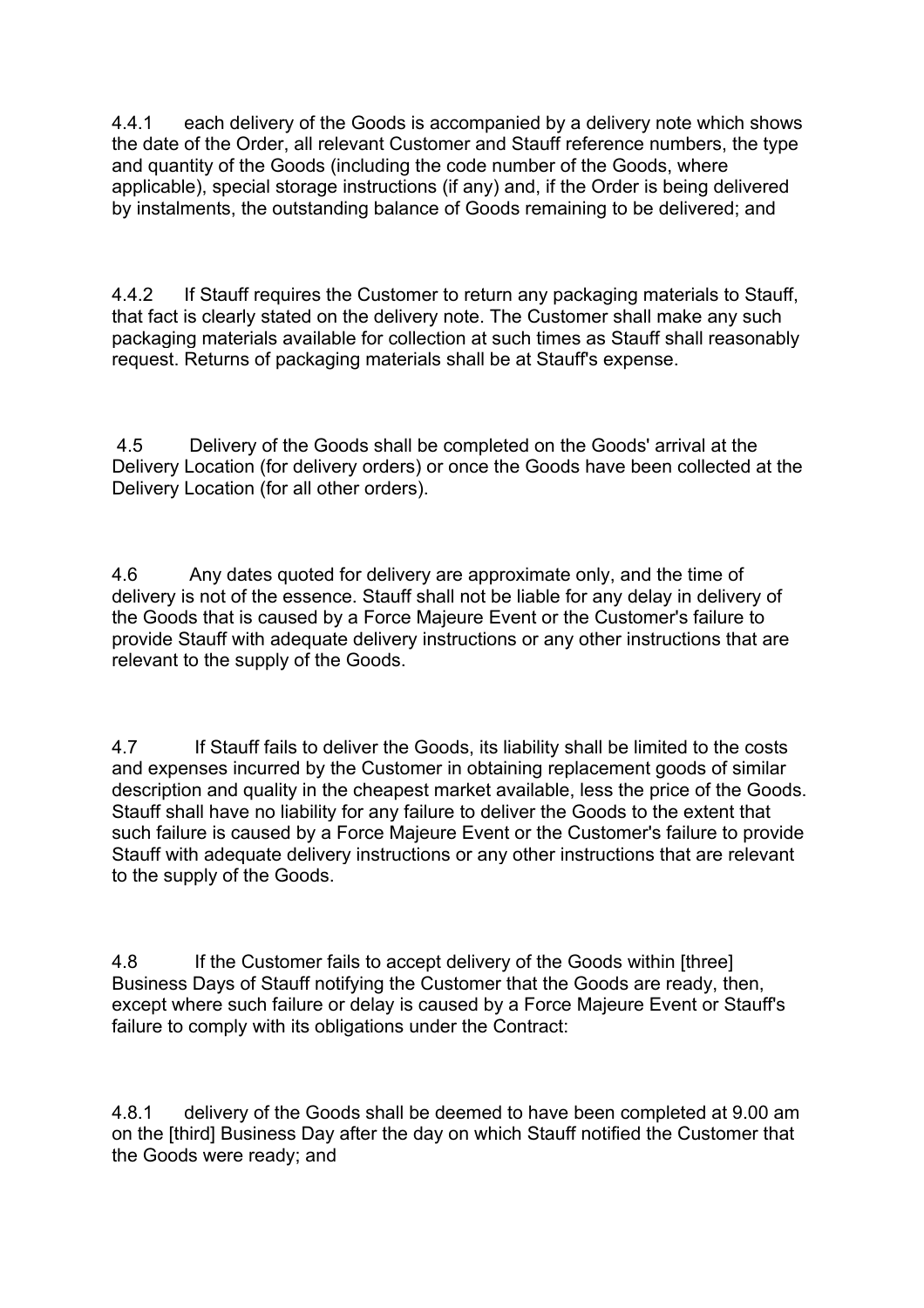4.4.1 each delivery of the Goods is accompanied by a delivery note which shows the date of the Order, all relevant Customer and Stauff reference numbers, the type and quantity of the Goods (including the code number of the Goods, where applicable), special storage instructions (if any) and, if the Order is being delivered by instalments, the outstanding balance of Goods remaining to be delivered; and

4.4.2 If Stauff requires the Customer to return any packaging materials to Stauff, that fact is clearly stated on the delivery note. The Customer shall make any such packaging materials available for collection at such times as Stauff shall reasonably request. Returns of packaging materials shall be at Stauff's expense.

4.5 Delivery of the Goods shall be completed on the Goods' arrival at the Delivery Location (for delivery orders) or once the Goods have been collected at the Delivery Location (for all other orders).

4.6 Any dates quoted for delivery are approximate only, and the time of delivery is not of the essence. Stauff shall not be liable for any delay in delivery of the Goods that is caused by a Force Majeure Event or the Customer's failure to provide Stauff with adequate delivery instructions or any other instructions that are relevant to the supply of the Goods.

4.7 If Stauff fails to deliver the Goods, its liability shall be limited to the costs and expenses incurred by the Customer in obtaining replacement goods of similar description and quality in the cheapest market available, less the price of the Goods. Stauff shall have no liability for any failure to deliver the Goods to the extent that such failure is caused by a Force Majeure Event or the Customer's failure to provide Stauff with adequate delivery instructions or any other instructions that are relevant to the supply of the Goods.

4.8 If the Customer fails to accept delivery of the Goods within [three] Business Days of Stauff notifying the Customer that the Goods are ready, then, except where such failure or delay is caused by a Force Majeure Event or Stauff's failure to comply with its obligations under the Contract:

4.8.1 delivery of the Goods shall be deemed to have been completed at 9.00 am on the [third] Business Day after the day on which Stauff notified the Customer that the Goods were ready; and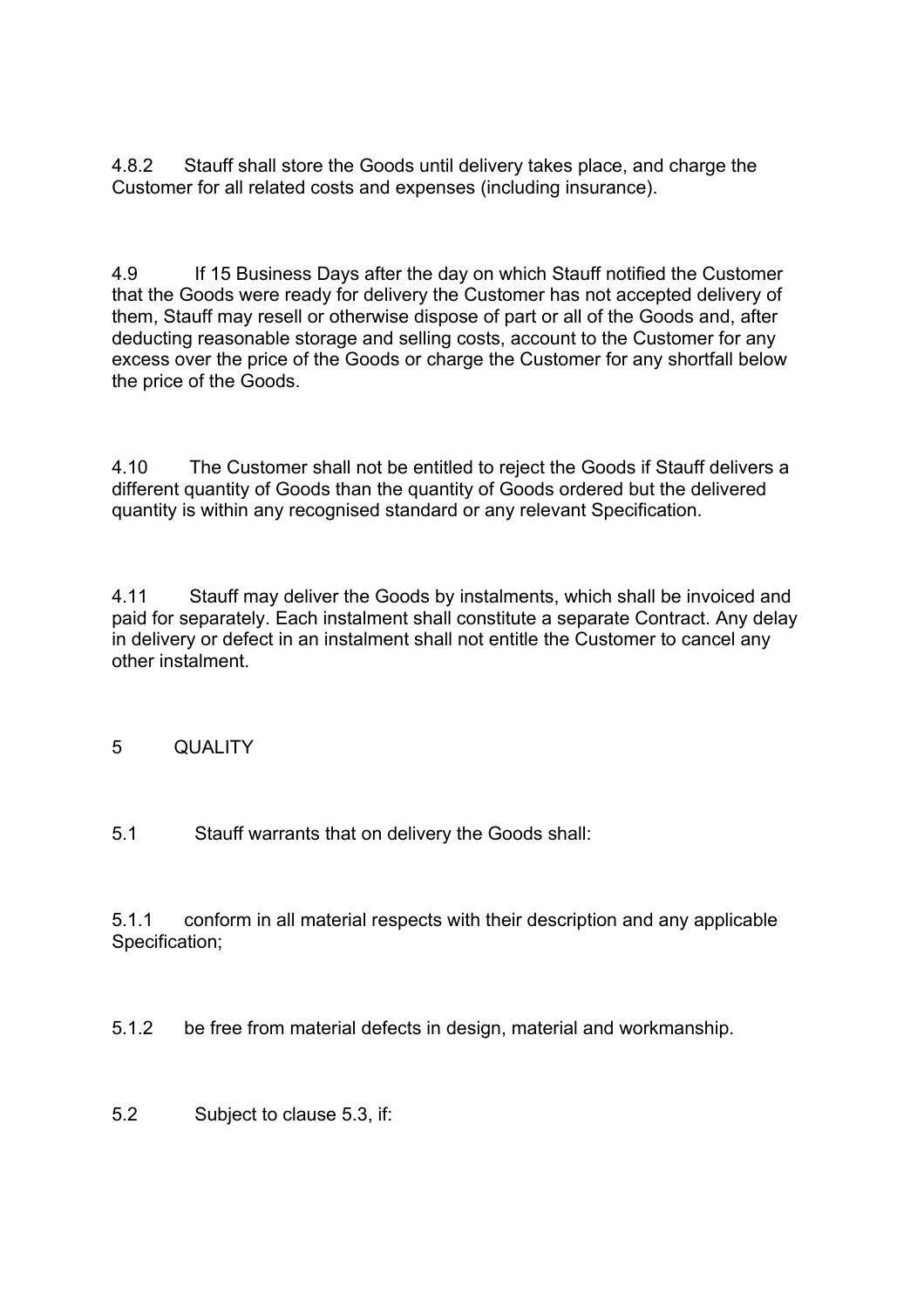4.8.2 Stauff shall store the Goods until delivery takes place, and charge the Customer for all related costs and expenses (including insurance).

4.9 If 15 Business Days after the day on which Stauff notified the Customer that the Goods were ready for delivery the Customer has not accepted delivery of them, Stauff may resell or otherwise dispose of part or all of the Goods and, after deducting reasonable storage and selling costs, account to the Customer for any excess over the price of the Goods or charge the Customer for any shortfall below the price of the Goods.

4.10 The Customer shall not be entitled to reject the Goods if Stauff delivers a different quantity of Goods than the quantity of Goods ordered but the delivered quantity is within any recognised standard or any relevant Specification.

4.11 Stauff may deliver the Goods by instalments, which shall be invoiced and paid for separately. Each instalment shall constitute a separate Contract. Any delay in delivery or defect in an instalment shall not entitle the Customer to cancel any other instalment.

# 5 QUALITY

5.1 Stauff warrants that on delivery the Goods shall:

5.1.1 conform in all material respects with their description and any applicable Specification;

5.1.2 be free from material defects in design, material and workmanship.

5.2 Subject to clause 5.3, if: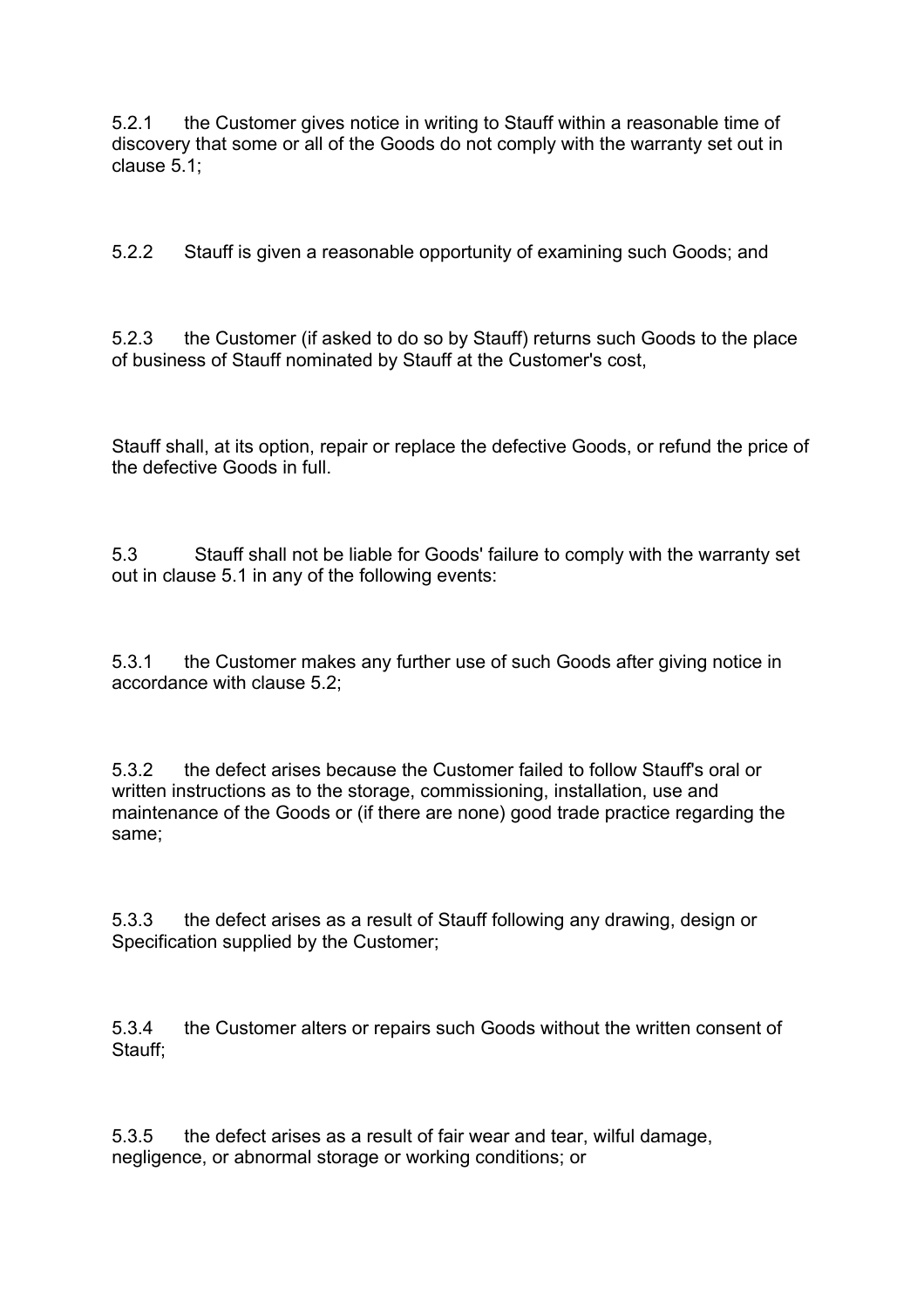5.2.1 the Customer gives notice in writing to Stauff within a reasonable time of discovery that some or all of the Goods do not comply with the warranty set out in clause 5.1;

5.2.2 Stauff is given a reasonable opportunity of examining such Goods; and

5.2.3 the Customer (if asked to do so by Stauff) returns such Goods to the place of business of Stauff nominated by Stauff at the Customer's cost,

Stauff shall, at its option, repair or replace the defective Goods, or refund the price of the defective Goods in full.

5.3 Stauff shall not be liable for Goods' failure to comply with the warranty set out in clause 5.1 in any of the following events:

5.3.1 the Customer makes any further use of such Goods after giving notice in accordance with clause 5.2;

5.3.2 the defect arises because the Customer failed to follow Stauff's oral or written instructions as to the storage, commissioning, installation, use and maintenance of the Goods or (if there are none) good trade practice regarding the same;

5.3.3 the defect arises as a result of Stauff following any drawing, design or Specification supplied by the Customer;

5.3.4 the Customer alters or repairs such Goods without the written consent of Stauff;

5.3.5 the defect arises as a result of fair wear and tear, wilful damage, negligence, or abnormal storage or working conditions; or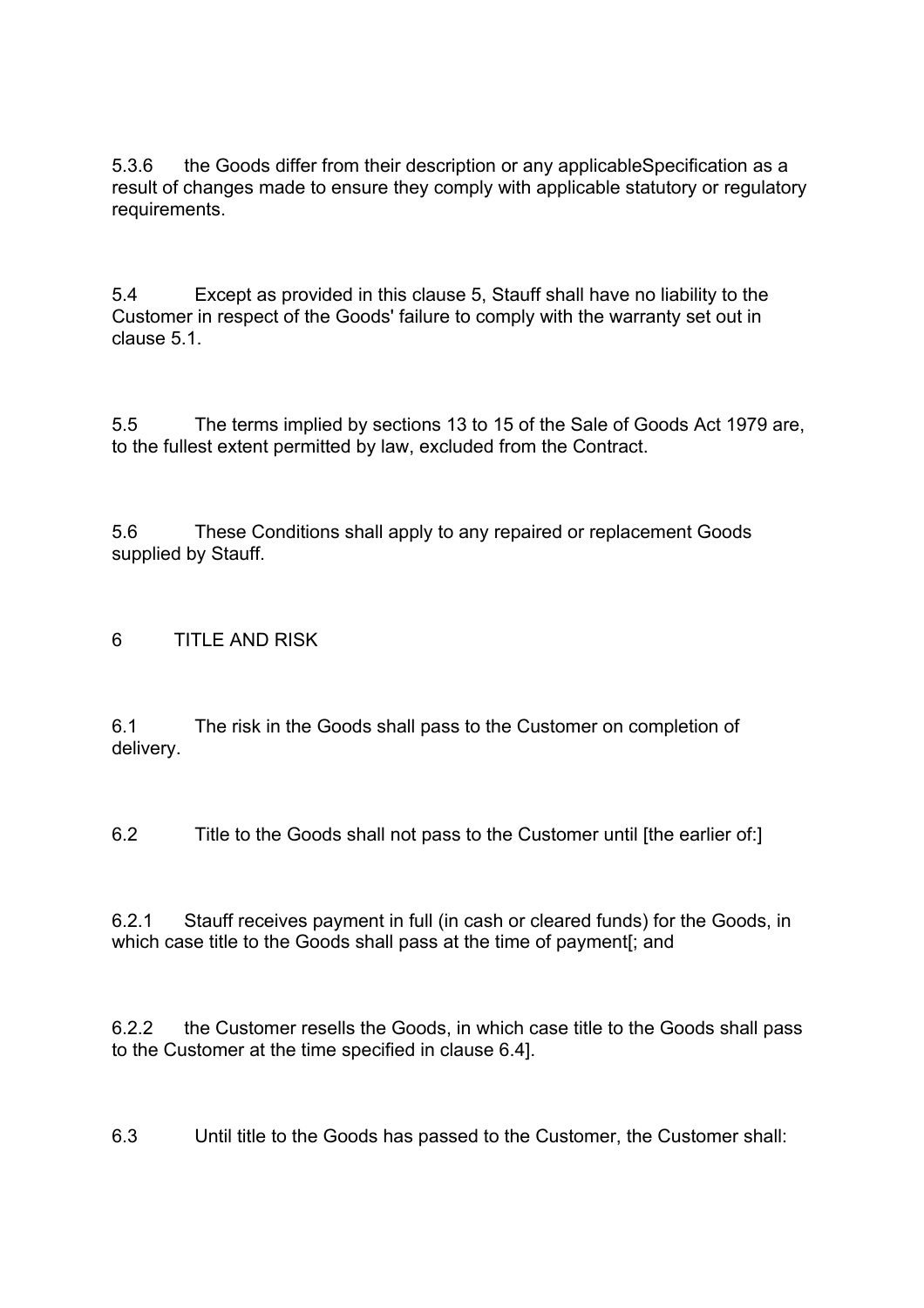5.3.6 the Goods differ from their description or any applicableSpecification as a result of changes made to ensure they comply with applicable statutory or regulatory requirements.

5.4 Except as provided in this clause 5, Stauff shall have no liability to the Customer in respect of the Goods' failure to comply with the warranty set out in clause 5.1.

5.5 The terms implied by sections 13 to 15 of the Sale of Goods Act 1979 are, to the fullest extent permitted by law, excluded from the Contract.

5.6 These Conditions shall apply to any repaired or replacement Goods supplied by Stauff.

6 TITLE AND RISK

6.1 The risk in the Goods shall pass to the Customer on completion of delivery.

6.2 Title to the Goods shall not pass to the Customer until [the earlier of:]

6.2.1 Stauff receives payment in full (in cash or cleared funds) for the Goods, in which case title to the Goods shall pass at the time of payment[; and

6.2.2 the Customer resells the Goods, in which case title to the Goods shall pass to the Customer at the time specified in clause 6.4].

6.3 Until title to the Goods has passed to the Customer, the Customer shall: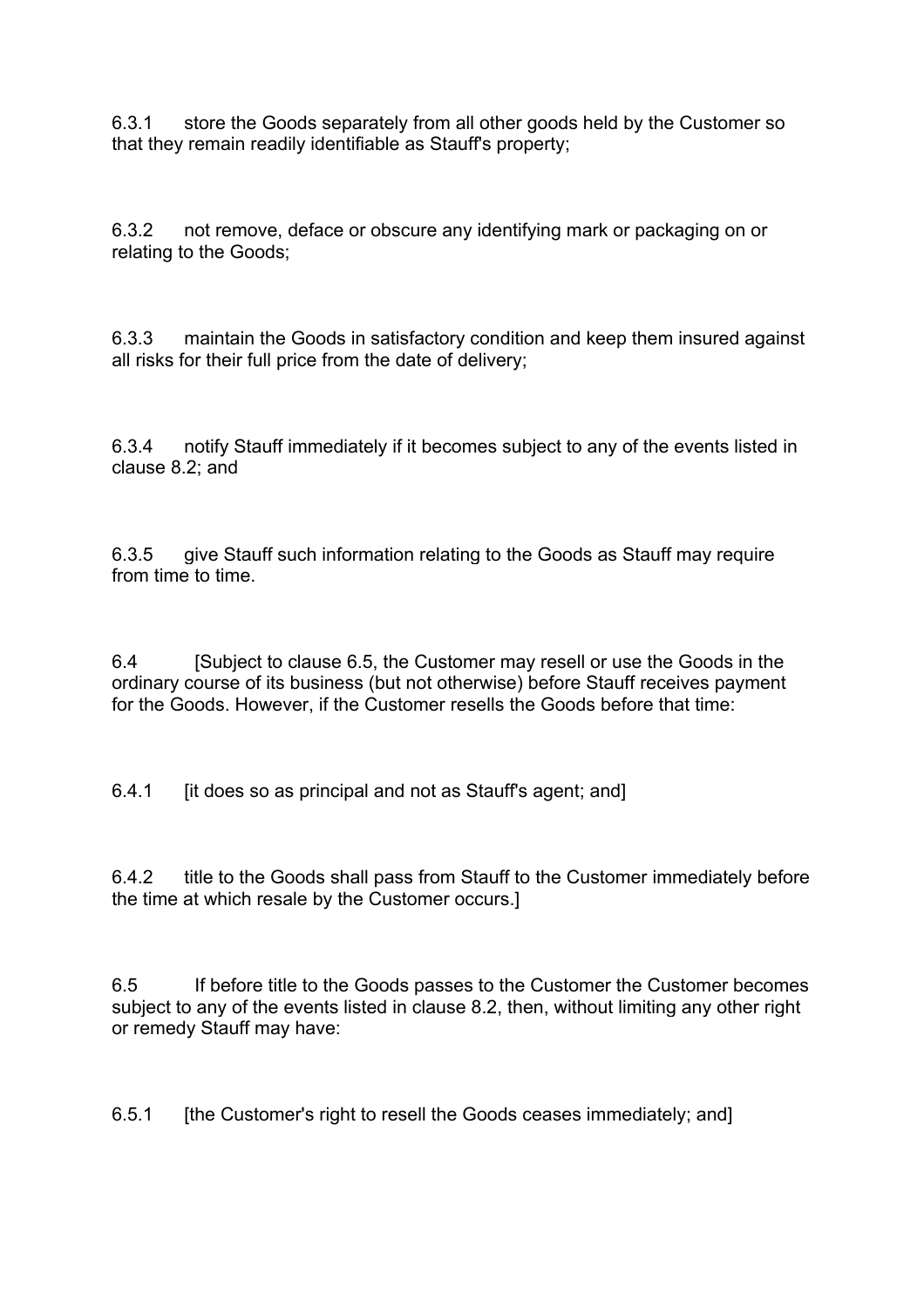6.3.1 store the Goods separately from all other goods held by the Customer so that they remain readily identifiable as Stauff's property;

6.3.2 not remove, deface or obscure any identifying mark or packaging on or relating to the Goods;

6.3.3 maintain the Goods in satisfactory condition and keep them insured against all risks for their full price from the date of delivery;

6.3.4 notify Stauff immediately if it becomes subject to any of the events listed in clause 8.2; and

6.3.5 give Stauff such information relating to the Goods as Stauff may require from time to time.

6.4 [Subject to clause 6.5, the Customer may resell or use the Goods in the ordinary course of its business (but not otherwise) before Stauff receives payment for the Goods. However, if the Customer resells the Goods before that time:

6.4.1 [it does so as principal and not as Stauff's agent; and]

6.4.2 title to the Goods shall pass from Stauff to the Customer immediately before the time at which resale by the Customer occurs.]

6.5 If before title to the Goods passes to the Customer the Customer becomes subject to any of the events listed in clause 8.2, then, without limiting any other right or remedy Stauff may have:

6.5.1 [the Customer's right to resell the Goods ceases immediately; and]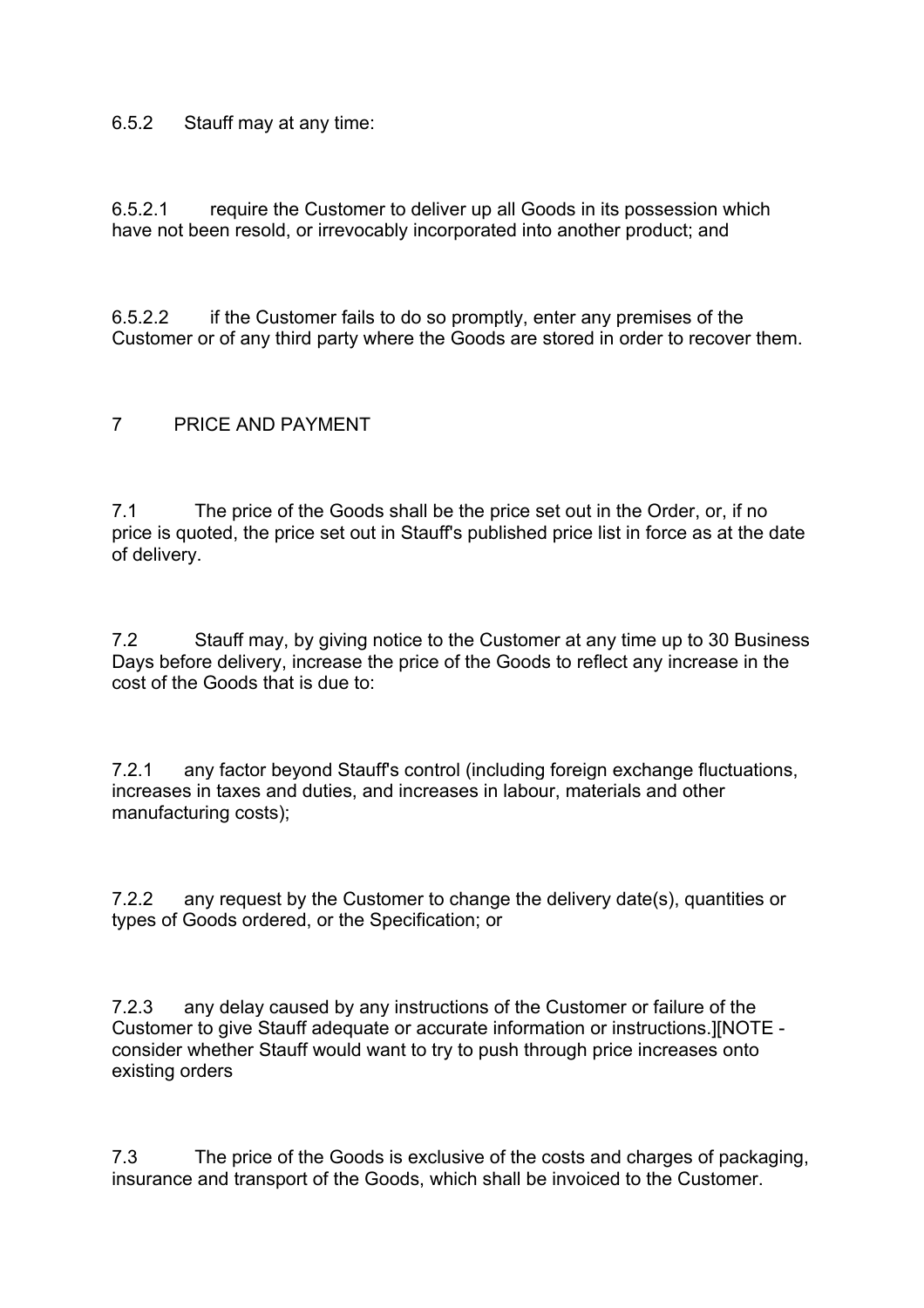### 6.5.2 Stauff may at any time:

6.5.2.1 require the Customer to deliver up all Goods in its possession which have not been resold, or irrevocably incorporated into another product; and

6.5.2.2 if the Customer fails to do so promptly, enter any premises of the Customer or of any third party where the Goods are stored in order to recover them.

### 7 PRICE AND PAYMENT

7.1 The price of the Goods shall be the price set out in the Order, or, if no price is quoted, the price set out in Stauff's published price list in force as at the date of delivery.

7.2 Stauff may, by giving notice to the Customer at any time up to 30 Business Days before delivery, increase the price of the Goods to reflect any increase in the cost of the Goods that is due to:

7.2.1 any factor beyond Stauff's control (including foreign exchange fluctuations, increases in taxes and duties, and increases in labour, materials and other manufacturing costs);

7.2.2 any request by the Customer to change the delivery date(s), quantities or types of Goods ordered, or the Specification; or

7.2.3 any delay caused by any instructions of the Customer or failure of the Customer to give Stauff adequate or accurate information or instructions.][NOTE consider whether Stauff would want to try to push through price increases onto existing orders

7.3 The price of the Goods is exclusive of the costs and charges of packaging, insurance and transport of the Goods, which shall be invoiced to the Customer.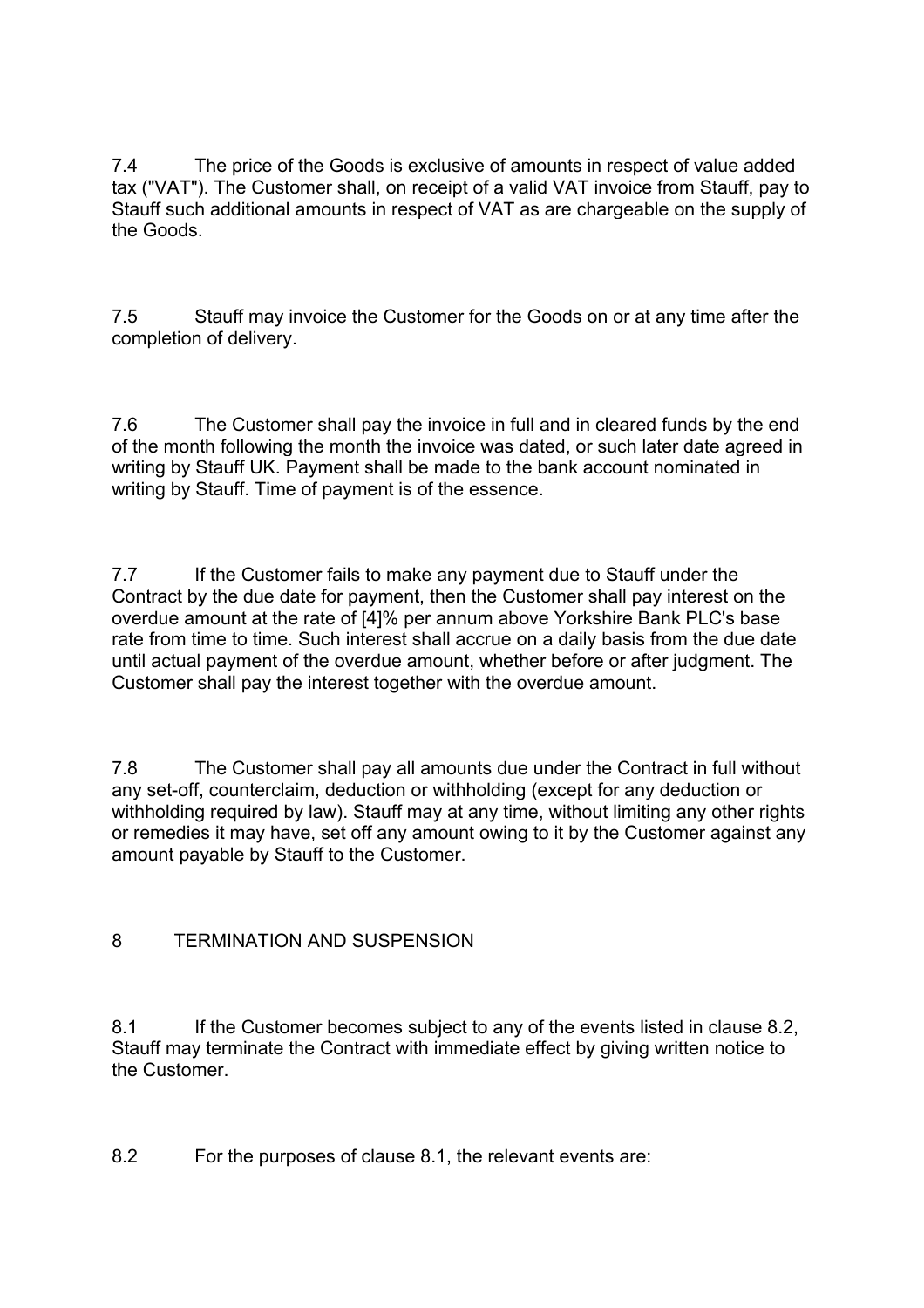7.4 The price of the Goods is exclusive of amounts in respect of value added tax ("VAT"). The Customer shall, on receipt of a valid VAT invoice from Stauff, pay to Stauff such additional amounts in respect of VAT as are chargeable on the supply of the Goods.

7.5 Stauff may invoice the Customer for the Goods on or at any time after the completion of delivery.

7.6 The Customer shall pay the invoice in full and in cleared funds by the end of the month following the month the invoice was dated, or such later date agreed in writing by Stauff UK. Payment shall be made to the bank account nominated in writing by Stauff. Time of payment is of the essence.

7.7 If the Customer fails to make any payment due to Stauff under the Contract by the due date for payment, then the Customer shall pay interest on the overdue amount at the rate of [4]% per annum above Yorkshire Bank PLC's base rate from time to time. Such interest shall accrue on a daily basis from the due date until actual payment of the overdue amount, whether before or after judgment. The Customer shall pay the interest together with the overdue amount.

7.8 The Customer shall pay all amounts due under the Contract in full without any set-off, counterclaim, deduction or withholding (except for any deduction or withholding required by law). Stauff may at any time, without limiting any other rights or remedies it may have, set off any amount owing to it by the Customer against any amount payable by Stauff to the Customer.

# 8 TERMINATION AND SUSPENSION

8.1 If the Customer becomes subject to any of the events listed in clause 8.2, Stauff may terminate the Contract with immediate effect by giving written notice to the Customer.

8.2 For the purposes of clause 8.1, the relevant events are: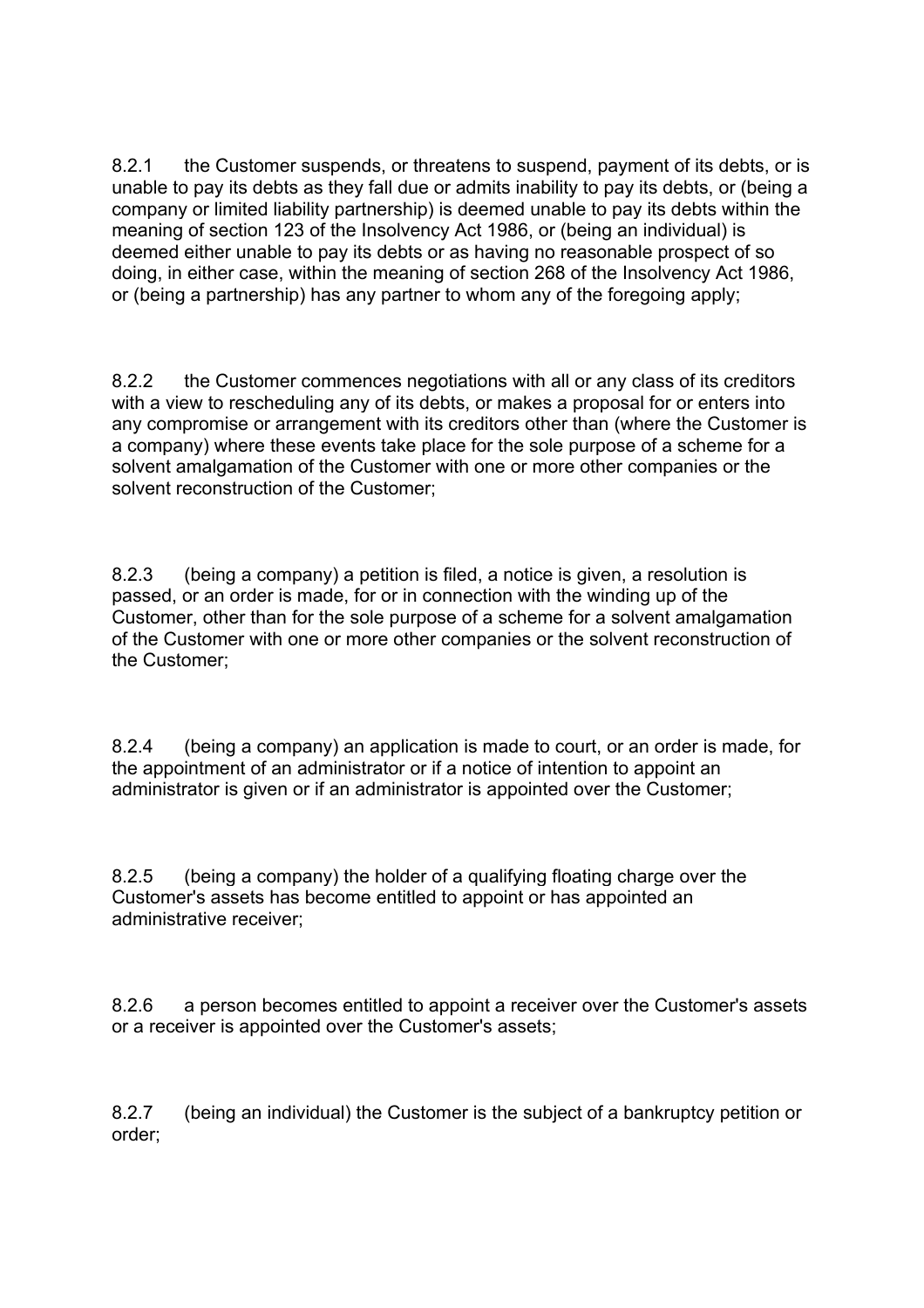8.2.1 the Customer suspends, or threatens to suspend, payment of its debts, or is unable to pay its debts as they fall due or admits inability to pay its debts, or (being a company or limited liability partnership) is deemed unable to pay its debts within the meaning of section 123 of the Insolvency Act 1986, or (being an individual) is deemed either unable to pay its debts or as having no reasonable prospect of so doing, in either case, within the meaning of section 268 of the Insolvency Act 1986, or (being a partnership) has any partner to whom any of the foregoing apply;

8.2.2 the Customer commences negotiations with all or any class of its creditors with a view to rescheduling any of its debts, or makes a proposal for or enters into any compromise or arrangement with its creditors other than (where the Customer is a company) where these events take place for the sole purpose of a scheme for a solvent amalgamation of the Customer with one or more other companies or the solvent reconstruction of the Customer;

8.2.3 (being a company) a petition is filed, a notice is given, a resolution is passed, or an order is made, for or in connection with the winding up of the Customer, other than for the sole purpose of a scheme for a solvent amalgamation of the Customer with one or more other companies or the solvent reconstruction of the Customer;

8.2.4 (being a company) an application is made to court, or an order is made, for the appointment of an administrator or if a notice of intention to appoint an administrator is given or if an administrator is appointed over the Customer;

8.2.5 (being a company) the holder of a qualifying floating charge over the Customer's assets has become entitled to appoint or has appointed an administrative receiver;

8.2.6 a person becomes entitled to appoint a receiver over the Customer's assets or a receiver is appointed over the Customer's assets;

8.2.7 (being an individual) the Customer is the subject of a bankruptcy petition or order;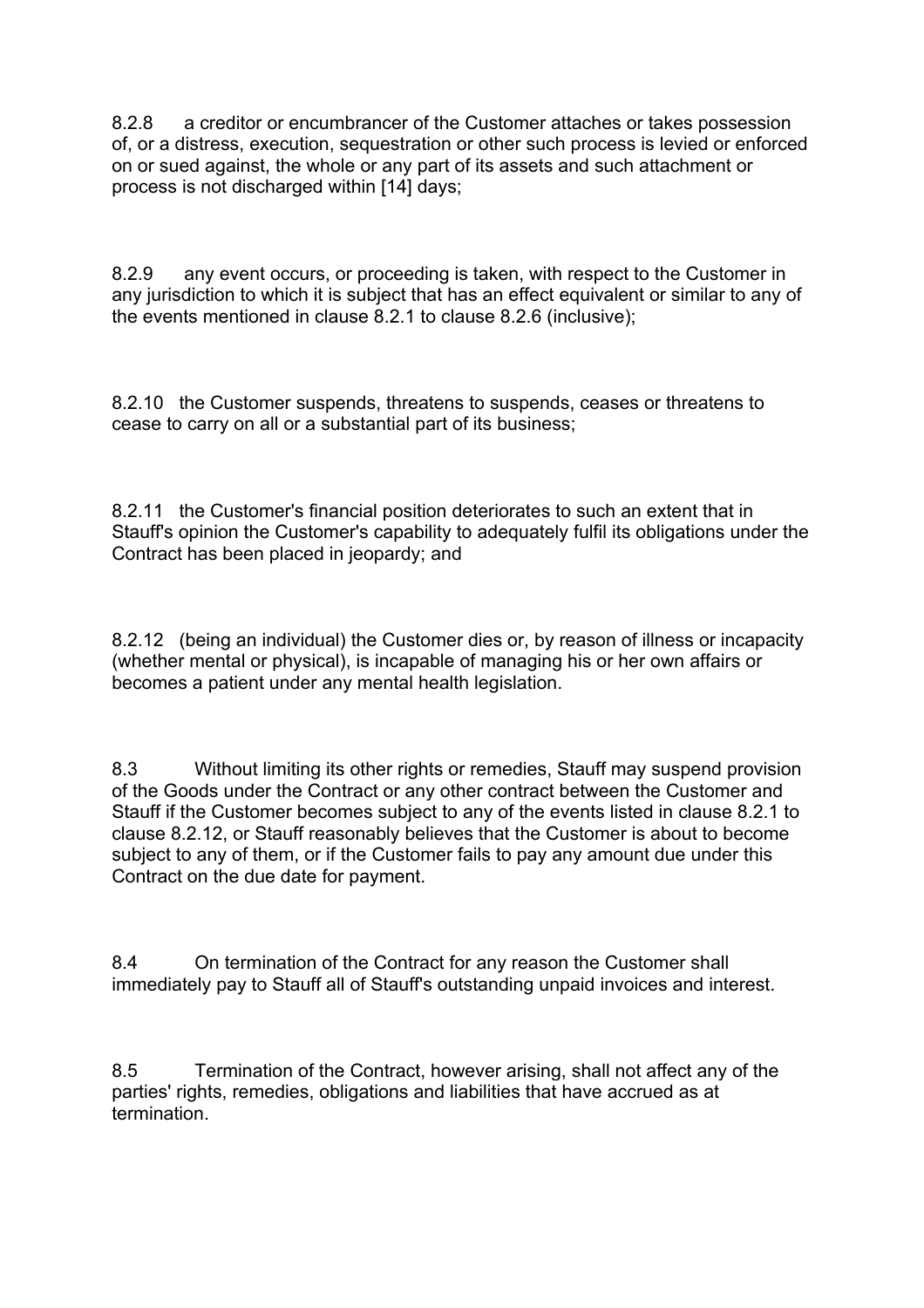8.2.8 a creditor or encumbrancer of the Customer attaches or takes possession of, or a distress, execution, sequestration or other such process is levied or enforced on or sued against, the whole or any part of its assets and such attachment or process is not discharged within [14] days;

8.2.9 any event occurs, or proceeding is taken, with respect to the Customer in any jurisdiction to which it is subject that has an effect equivalent or similar to any of the events mentioned in clause 8.2.1 to clause 8.2.6 (inclusive);

8.2.10 the Customer suspends, threatens to suspends, ceases or threatens to cease to carry on all or a substantial part of its business;

8.2.11 the Customer's financial position deteriorates to such an extent that in Stauff's opinion the Customer's capability to adequately fulfil its obligations under the Contract has been placed in jeopardy; and

8.2.12 (being an individual) the Customer dies or, by reason of illness or incapacity (whether mental or physical), is incapable of managing his or her own affairs or becomes a patient under any mental health legislation.

8.3 Without limiting its other rights or remedies, Stauff may suspend provision of the Goods under the Contract or any other contract between the Customer and Stauff if the Customer becomes subject to any of the events listed in clause 8.2.1 to clause 8.2.12, or Stauff reasonably believes that the Customer is about to become subject to any of them, or if the Customer fails to pay any amount due under this Contract on the due date for payment.

8.4 On termination of the Contract for any reason the Customer shall immediately pay to Stauff all of Stauff's outstanding unpaid invoices and interest.

8.5 Termination of the Contract, however arising, shall not affect any of the parties' rights, remedies, obligations and liabilities that have accrued as at termination.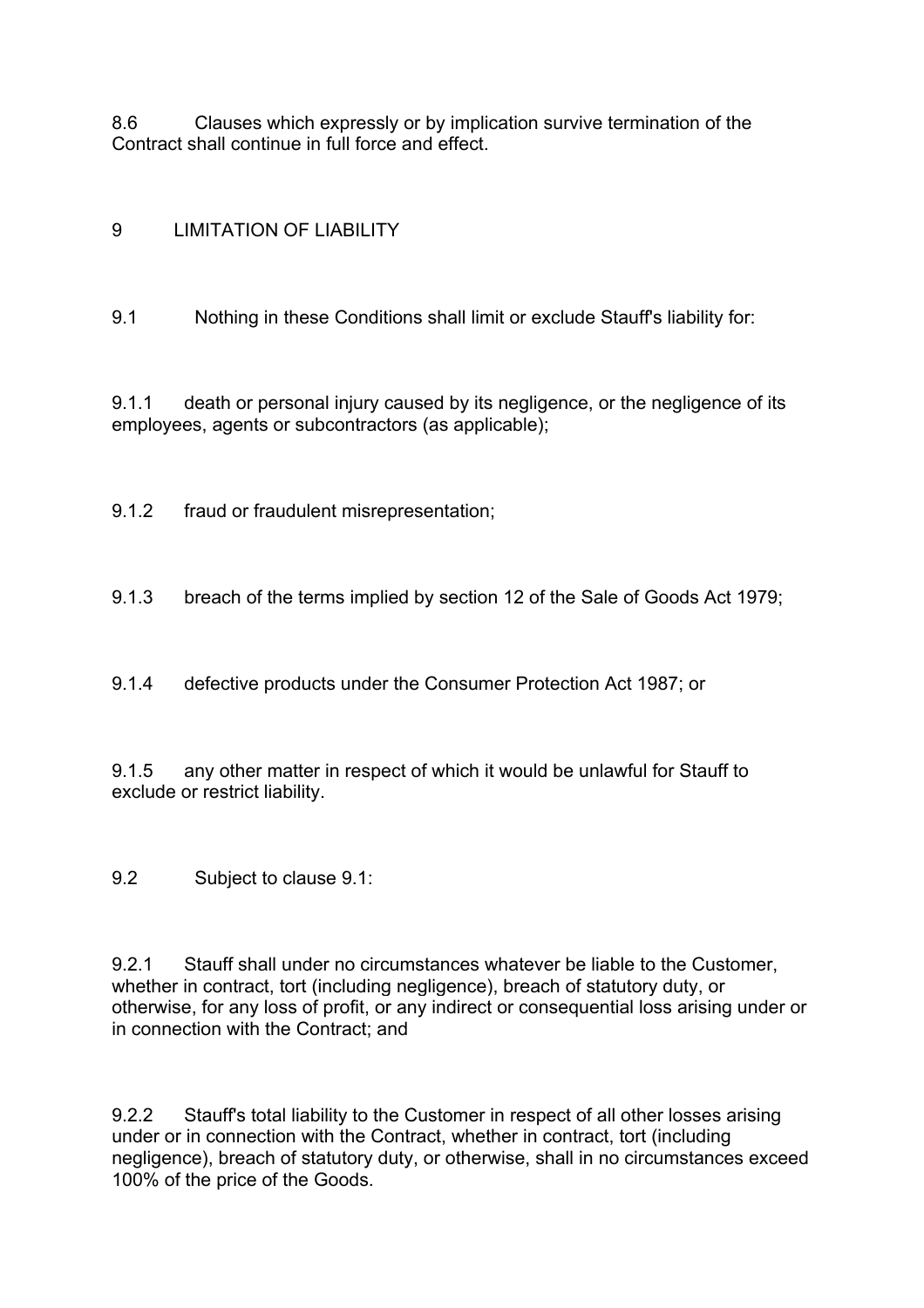8.6 Clauses which expressly or by implication survive termination of the Contract shall continue in full force and effect.

# 9 LIMITATION OF LIABILITY

9.1 Nothing in these Conditions shall limit or exclude Stauff's liability for:

9.1.1 death or personal injury caused by its negligence, or the negligence of its employees, agents or subcontractors (as applicable);

9.1.2 fraud or fraudulent misrepresentation;

9.1.3 breach of the terms implied by section 12 of the Sale of Goods Act 1979;

9.1.4 defective products under the Consumer Protection Act 1987; or

9.1.5 any other matter in respect of which it would be unlawful for Stauff to exclude or restrict liability.

9.2 Subject to clause 9.1:

9.2.1 Stauff shall under no circumstances whatever be liable to the Customer, whether in contract, tort (including negligence), breach of statutory duty, or otherwise, for any loss of profit, or any indirect or consequential loss arising under or in connection with the Contract; and

9.2.2 Stauff's total liability to the Customer in respect of all other losses arising under or in connection with the Contract, whether in contract, tort (including negligence), breach of statutory duty, or otherwise, shall in no circumstances exceed 100% of the price of the Goods.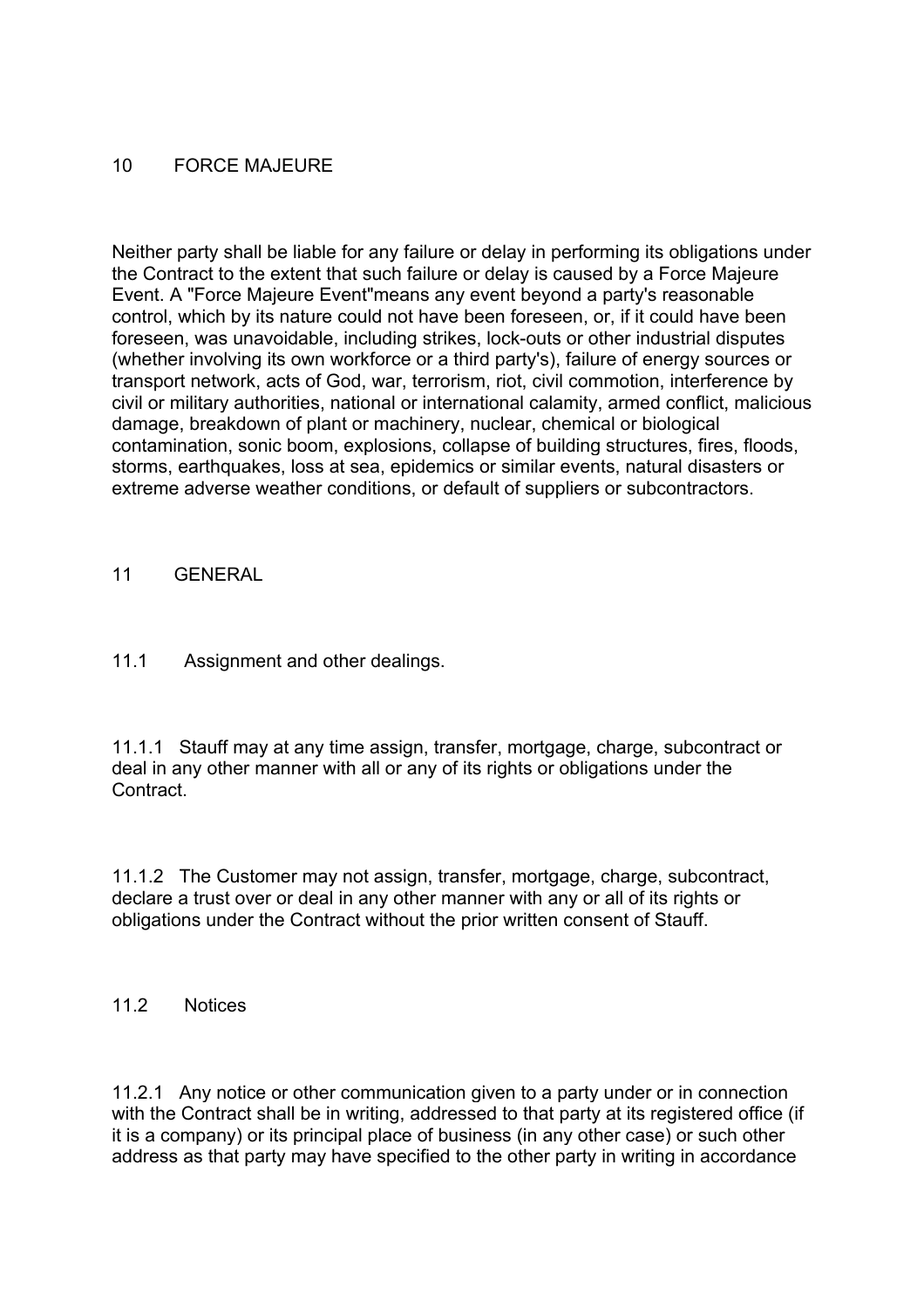## 10 FORCE MAJEURE

Neither party shall be liable for any failure or delay in performing its obligations under the Contract to the extent that such failure or delay is caused by a Force Majeure Event. A "Force Majeure Event"means any event beyond a party's reasonable control, which by its nature could not have been foreseen, or, if it could have been foreseen, was unavoidable, including strikes, lock-outs or other industrial disputes (whether involving its own workforce or a third party's), failure of energy sources or transport network, acts of God, war, terrorism, riot, civil commotion, interference by civil or military authorities, national or international calamity, armed conflict, malicious damage, breakdown of plant or machinery, nuclear, chemical or biological contamination, sonic boom, explosions, collapse of building structures, fires, floods, storms, earthquakes, loss at sea, epidemics or similar events, natural disasters or extreme adverse weather conditions, or default of suppliers or subcontractors.

### 11 GENERAL

## 11.1 Assignment and other dealings.

11.1.1 Stauff may at any time assign, transfer, mortgage, charge, subcontract or deal in any other manner with all or any of its rights or obligations under the Contract.

11.1.2 The Customer may not assign, transfer, mortgage, charge, subcontract, declare a trust over or deal in any other manner with any or all of its rights or obligations under the Contract without the prior written consent of Stauff.

### 11.2 Notices

11.2.1 Any notice or other communication given to a party under or in connection with the Contract shall be in writing, addressed to that party at its registered office (if it is a company) or its principal place of business (in any other case) or such other address as that party may have specified to the other party in writing in accordance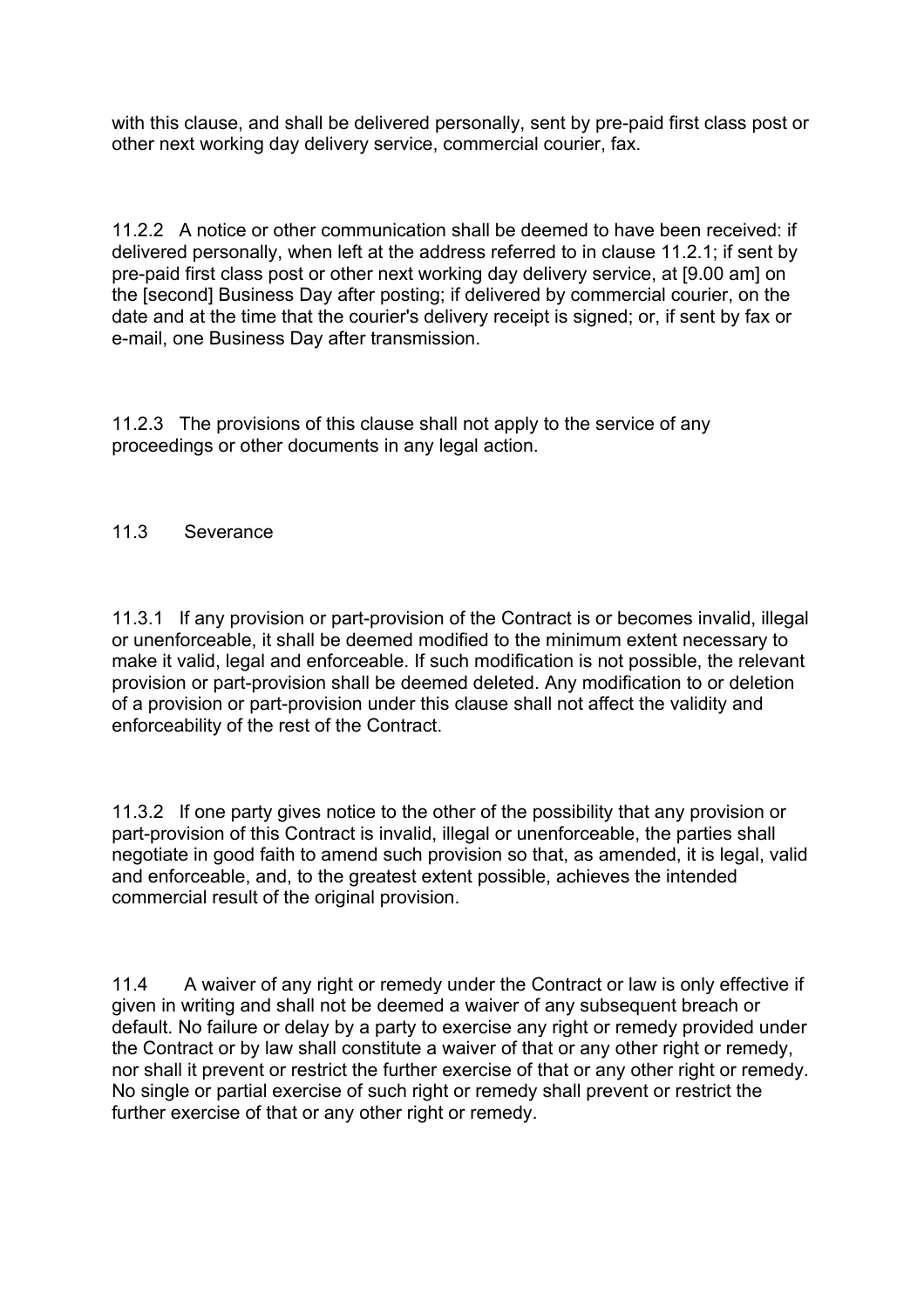with this clause, and shall be delivered personally, sent by pre-paid first class post or other next working day delivery service, commercial courier, fax.

11.2.2 A notice or other communication shall be deemed to have been received: if delivered personally, when left at the address referred to in clause 11.2.1; if sent by pre-paid first class post or other next working day delivery service, at [9.00 am] on the [second] Business Day after posting; if delivered by commercial courier, on the date and at the time that the courier's delivery receipt is signed; or, if sent by fax or e-mail, one Business Day after transmission.

11.2.3 The provisions of this clause shall not apply to the service of any proceedings or other documents in any legal action.

### 11.3 Severance

11.3.1 If any provision or part-provision of the Contract is or becomes invalid, illegal or unenforceable, it shall be deemed modified to the minimum extent necessary to make it valid, legal and enforceable. If such modification is not possible, the relevant provision or part-provision shall be deemed deleted. Any modification to or deletion of a provision or part-provision under this clause shall not affect the validity and enforceability of the rest of the Contract.

11.3.2 If one party gives notice to the other of the possibility that any provision or part-provision of this Contract is invalid, illegal or unenforceable, the parties shall negotiate in good faith to amend such provision so that, as amended, it is legal, valid and enforceable, and, to the greatest extent possible, achieves the intended commercial result of the original provision.

11.4 A waiver of any right or remedy under the Contract or law is only effective if given in writing and shall not be deemed a waiver of any subsequent breach or default. No failure or delay by a party to exercise any right or remedy provided under the Contract or by law shall constitute a waiver of that or any other right or remedy, nor shall it prevent or restrict the further exercise of that or any other right or remedy. No single or partial exercise of such right or remedy shall prevent or restrict the further exercise of that or any other right or remedy.